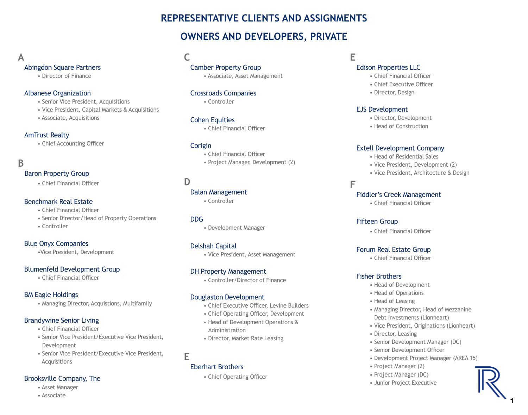# **REPRESENTATIVE CLIENTS AND ASSIGNMENTS**

# **OWNERS AND DEVELOPERS, PRIVATE**

# **A**

# Abingdon Square Partners

• Director of Finance

# Albanese Organization

- Senior Vice President, Acquisitions
- Vice President, Capital Markets & Acquisitions
- Associate, Acquisitions

# AmTrust Realty

• Chief Accounting Officer

# **B**

# Baron Property Group

• Chief Financial Officer

# Benchmark Real Estate

- Chief Financial Officer
- Senior Director/Head of Property Operations
- Controller

# Blue Onyx Companies

•Vice President, Development

# Blumenfeld Development Group

• Chief Financial Officer

# BM Eagle Holdings

• Managing Director, Acquistions, Multifamily

# Brandywine Senior Living

- Chief Financial Officer
- Senior Vice President/Executive Vice President, Development
- Senior Vice President/Executive Vice President, Acquisitions

# Brooksville Company, The

• Asset Manager

#### • Associate

**C**

# Camber Property Group

• Associate, Asset Management

# Crossroads Companies

• Controller

# Cohen Equities

• Chief Financial Officer

# **Corigin**

- Chief Financial Officer
- Project Manager, Development (2)

# **D**

# Dalan Management

• Controller

# DDG

• Development Manager

# Delshah Capital

• Vice President, Asset Management

# DH Property Management

• Controller/Director of Finance

# Douglaston Development

- Chief Executive Officer, Levine Builders
- Chief Operating Officer, Development
- Head of Development Operations & Administration
- Director, Market Rate Leasing

# **E**

# Eberhart Brothers

• Chief Operating Officer

# **E**

# Edison Properties LLC

- Chief Financial Officer
- Chief Executive Officer
- Director, Design

# EJS Development

- Director, Development
- Head of Construction

# Extell Development Company

- Head of Residential Sales
- Vice President, Development (2)
- Vice President, Architecture & Design

**F**

# Fiddler's Creek Management

• Chief Financial Officer

# Fifteen Group

• Chief Financial Officer

# Forum Real Estate Group

• Chief Financial Officer

### Fisher Brothers

- Head of Development
- Head of Operations
- Head of Leasing
- Managing Director, Head of Mezzanine Debt Investments (Lionheart)
- Vice President, Originations (Lionheart)
- Director, Leasing
- Senior Development Manager (DC)
- Senior Development Officer
- Development Project Manager (AREA 15)
- Project Manager (2)
- Project Manager (DC)
- Junior Project Executive

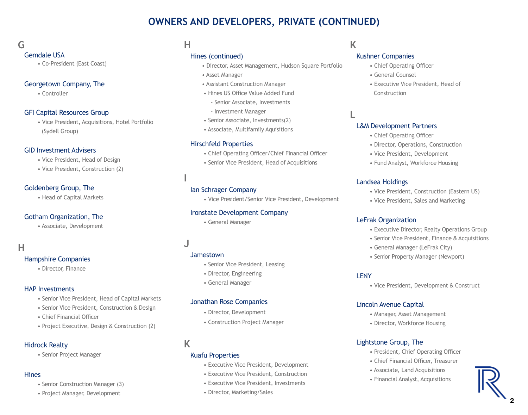# **G**

### Gemdale USA

• Co-President (East Coast)

# Georgetown Company, The

• Controller

# GFI Capital Resources Group

• Vice President, Acquisitions, Hotel Portfolio (Sydell Group)

# GID Investment Advisers

- Vice President, Head of Design
- Vice President, Construction (2)

# Goldenberg Group, The

• Head of Capital Markets

# Gotham Organization, The

• Associate, Development

# **H**

# Hampshire Companies

• Director, Finance

# HAP Investments

- Senior Vice President, Head of Capital Markets
- Senior Vice President, Construction & Design
- Chief Financial Officer
- Project Executive, Design & Construction (2)

### Hidrock Realty

• Senior Project Manager

### **Hines**

- Senior Construction Manager (3)
- Project Manager, Development

# **H**

# Hines (continued)

- Director, Asset Management, Hudson Square Portfolio
- Asset Manager
- Assistant Construction Manager
- Hines US Office Value Added Fund
- Senior Associate, Investments
- Investment Manager
- Senior Associate, Investments(2)
- Associate, Multifamily Aquisitions

# Hirschfeld Properties

- Chief Operating Officer/Chief Financial Officer
- Senior Vice President, Head of Acquisitions

# Ian Schrager Company

• Vice President/Senior Vice President, Development

### Ironstate Development Company

• General Manager

# **J**

**I**

# Jamestown

- Senior Vice President, Leasing
- Director, Engineering
- General Manager

### Jonathan Rose Companies

- Director, Development
- Construction Project Manager

# **K**

# Kuafu Properties

- Executive Vice President, Development
- Executive Vice President, Construction
- Executive Vice President, Investments
- Director, Marketing/Sales

# **K**

# Kushner Companies

- Chief Operating Officer
- General Counsel
- Executive Vice President, Head of Construction

# **L**

# L&M Development Partners

- Chief Operating Officer
- Director, Operations, Construction
- Vice President, Development
- Fund Analyst, Workforce Housing

# Landsea Holdings

- Vice President, Construction (Eastern US)
- Vice President, Sales and Marketing

# LeFrak Organization

- Executive Director, Realty Operations Group
- Senior Vice President, Finance & Acquisitions
- General Manager (LeFrak City)
- Senior Property Manager (Newport)

#### LENY

• Vice President, Development & Construct

# Lincoln Avenue Capital

- Manager, Asset Management
- Director, Workforce Housing

# Lightstone Group, The

- President, Chief Operating Officer
- Chief Financial Officer, Treasurer
- Associate, Land Acquisitions
- Financial Analyst, Acquisitions

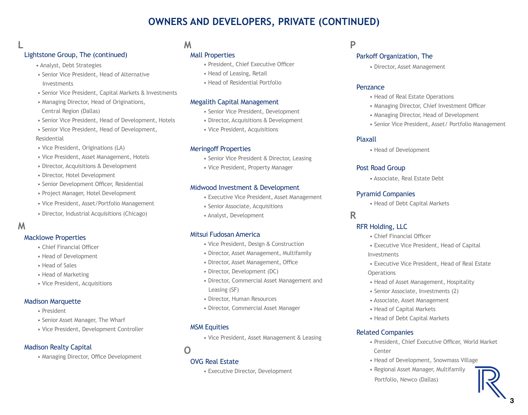# Lightstone Group, The (continued)

- Analyst, Debt Strategies
- Senior Vice President, Head of Alternative Investments
- Senior Vice President, Capital Markets & Investments
- Managing Director, Head of Originations, Central Region (Dallas)
- Senior Vice President, Head of Development, Hotels
- Senior Vice President, Head of Development,

#### Residential

- Vice President, Originations (LA)
- Vice President, Asset Management, Hotels
- Director, Acquisitions & Development
- Director, Hotel Development
- Senior Development Officer, Residential
- Project Manager, Hotel Development
- Vice President, Asset/Portfolio Management
- Director, Industrial Acquisitions (Chicago)

# **M**

**L**

### Macklowe Properties

- Chief Financial Officer
- Head of Development
- Head of Sales
- Head of Marketing
- Vice President, Acquisitions

### Madison Marquette

- President
- Senior Asset Manager, The Wharf
- Vice President, Development Controller

# Madison Realty Capital

• Managing Director, Office Development

# **M**

# Mall Properties

- President, Chief Executive Officer
- Head of Leasing, Retail
- Head of Residential Portfolio

# Megalith Capital Management

- Senior Vice President, Development
- Director, Acquisitions & Development
- Vice President, Acquisitions

# Meringoff Properties

- Senior Vice President & Director, Leasing
- Vice President, Property Manager

# Midwood Investment & Development

- Executive Vice President, Asset Management
- Senior Associate, Acquisitions
- Analyst, Development

### Mitsui Fudosan America

- Vice President, Design & Construction
- Director, Asset Management, Multifamily
- Director, Asset Management, Office
- Director, Development (DC)
- Director, Commercial Asset Management and Leasing (SF)
- Director, Human Resources
- Director, Commercial Asset Manager

# MSM Equities

• Vice President, Asset Management & Leasing

**O**

# OVG Real Estate

• Executive Director, Development

# **P**

# Parkoff Organization, The

• Director, Asset Management

#### Penzance

- Head of Real Estate Operations
- Managing Director, Chief Investment Officer
- Managing Director, Head of Development
- Senior Vice President, Asset/ Portfolio Management

# Plaxall

• Head of Development

# Post Road Group

• Associate, Real Estate Debt

# Pyramid Companies

• Head of Debt Capital Markets

# **R**

# RFR Holding, LLC

- Chief Financial Officer
- Executive Vice President, Head of Capital Investments
- Executive Vice President, Head of Real Estate **Operations**
- Head of Asset Management, Hospitality
- Senior Associate, Investments (2)
- Associate, Asset Management
- Head of Capital Markets
- Head of Debt Capital Markets

# Related Companies

- President, Chief Executive Officer, World Market **Center**
- Head of Development, Snowmass Village
- Regional Asset Manager, Multifamily Portfolio, Newco (Dallas)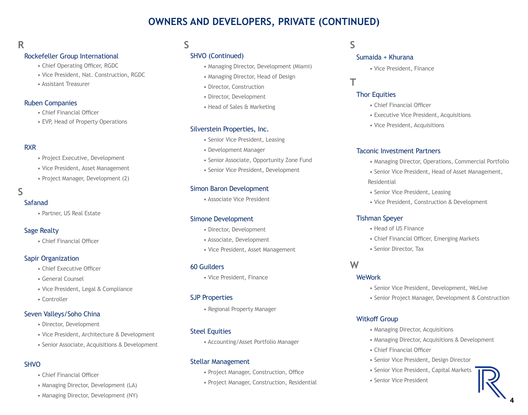# **R**

### Rockefeller Group International

- Chief Operating Officer, RGDC
- Vice President, Nat. Construction, RGDC
- Assistant Treasurer

#### Ruben Companies

- Chief Financial Officer
- EVP, Head of Property Operations

# RXR

- Project Executive, Development
- Vice President, Asset Management
- Project Manager, Development (2)

# **S**

#### Safanad

• Partner, US Real Estate

# Sage Realty

• Chief Financial Officer

### Sapir Organization

- Chief Executive Officer
- General Counsel
- Vice President, Legal & Compliance
- Controller

### Seven Valleys/Soho China

- Director, Development
- Vice President, Architecture & Development
- Senior Associate, Acquisitions & Development

# **SHVO**

- Chief Financial Officer
- Managing Director, Development (LA)

# • Managing Director, Development (NY)

# **S**

# SHVO (Continued)

- Managing Director, Development (Miami)
- Managing Director, Head of Design
- Director, Construction
- Director, Development
- Head of Sales & Marketing

# Silverstein Properties, Inc.

- Senior Vice President, Leasing
- Development Manager
- Senior Associate, Opportunity Zone Fund
- Senior Vice President, Development

# Simon Baron Development

• Associate Vice President

### Simone Development

- Director, Development
- Associate, Development
- Vice President, Asset Management

### 60 Guilders

• Vice President, Finance

### SJP Properties

• Regional Property Manager

# Steel Equities

• Accounting/Asset Portfolio Manager

### Stellar Management

- Project Manager, Construction, Office
- Project Manager, Construction, Residential

# **S**

**T**

#### Sumaida + Khurana

• Vice President, Finance

# Thor Equities

- Chief Financial Officer
- Executive Vice President, Acquisitions
- Vice President, Acquisitions

### Taconic Investment Partners

- Managing Director, Operations, Commercial Portfolio
- Senior Vice President, Head of Asset Management, Residential
- Senior Vice President, Leasing
- Vice President, Construction & Development

### Tishman Speyer

- Head of US Finance
- Chief Financial Officer, Emerging Markets
- Senior Director, Tax

# **W**

### **WeWork**

- Senior Vice President, Development, WeLive
- Senior Project Manager, Development & Construction

### Witkoff Group

- Managing Director, Acquisitions
- Managing Director, Acquisitions & Development
- Chief Financial Officer
- Senior Vice President, Design Director
- Senior Vice President, Capital Markets
- Senior Vice President

4